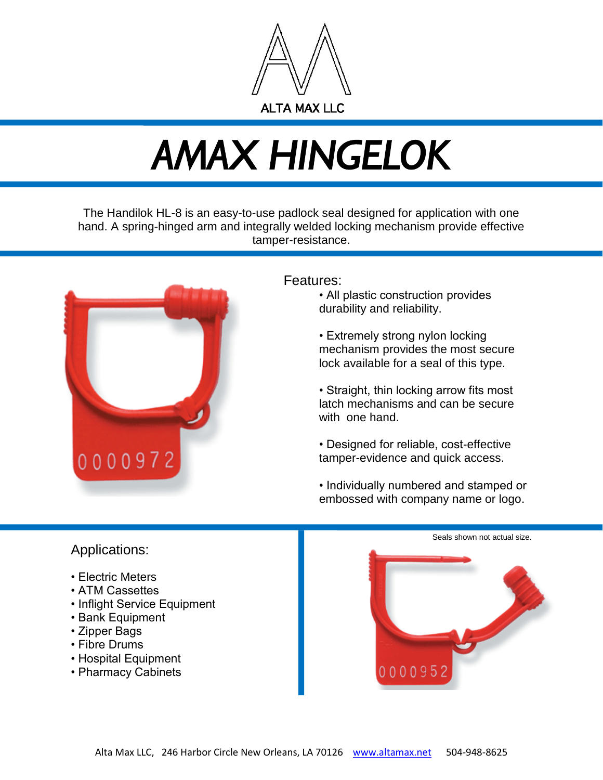

## *AMAX HINGELOK*

The Handilok HL-8 is an easy-to-use padlock seal designed for application with one hand. A spring-hinged arm and integrally welded locking mechanism provide effective tamper-resistance.



#### Features:

- All plastic construction provides durability and reliability.
- Extremely strong nylon locking mechanism provides the most secure lock available for a seal of this type.
- Straight, thin locking arrow fits most latch mechanisms and can be secure with one hand.
- Designed for reliable, cost-effective tamper-evidence and quick access.
- Individually numbered and stamped or embossed with company name or logo.

# Seals shown not actual size. 0000952

### Applications:

- Electric Meters
- ATM Cassettes
- Inflight Service Equipment
- Bank Equipment
- Zipper Bags
- Fibre Drums
- Hospital Equipment
- Pharmacy Cabinets